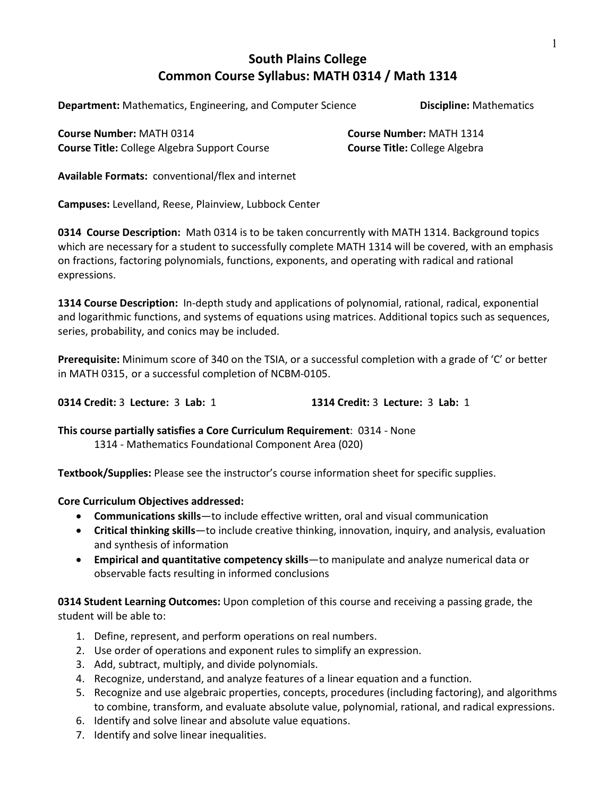# **South Plains College Common Course Syllabus: MATH 0314 / Math 1314**

**Department:** Mathematics, Engineering, and Computer Science **Discipline:** Mathematics

**Course Number:** MATH 0314 **Course Number:** MATH 1314 **Course Title:** College Algebra Support Course **Course Title:** College Algebra

**Available Formats:** conventional/flex and internet

**Campuses:** Levelland, Reese, Plainview, Lubbock Center

**0314 Course Description:** Math 0314 is to be taken concurrently with MATH 1314. Background topics which are necessary for a student to successfully complete MATH 1314 will be covered, with an emphasis on fractions, factoring polynomials, functions, exponents, and operating with radical and rational expressions.

**1314 Course Description:** In-depth study and applications of polynomial, rational, radical, exponential and logarithmic functions, and systems of equations using matrices. Additional topics such as sequences, series, probability, and conics may be included.

**Prerequisite:** Minimum score of 340 on the TSIA, or a successful completion with a grade of 'C' or better in MATH 0315, or a successful completion of NCBM-0105.

**0314 Credit:** 3 **Lecture:** 3 **Lab:** 1 **1314 Credit:** 3 **Lecture:** 3 **Lab:** 1

**This course partially satisfies a Core Curriculum Requirement**: 0314 - None

1314 - Mathematics Foundational Component Area (020)

**Textbook/Supplies:** Please see the instructor's course information sheet for specific supplies.

# **Core Curriculum Objectives addressed:**

- **Communications skills**—to include effective written, oral and visual communication
- **Critical thinking skills**—to include creative thinking, innovation, inquiry, and analysis, evaluation and synthesis of information
- **Empirical and quantitative competency skills**—to manipulate and analyze numerical data or observable facts resulting in informed conclusions

**0314 Student Learning Outcomes:** Upon completion of this course and receiving a passing grade, the student will be able to:

- 1. Define, represent, and perform operations on real numbers.
- 2. Use order of operations and exponent rules to simplify an expression.
- 3. Add, subtract, multiply, and divide polynomials.
- 4. Recognize, understand, and analyze features of a linear equation and a function.
- 5. Recognize and use algebraic properties, concepts, procedures (including factoring), and algorithms to combine, transform, and evaluate absolute value, polynomial, rational, and radical expressions.
- 6. Identify and solve linear and absolute value equations.
- 7. Identify and solve linear inequalities.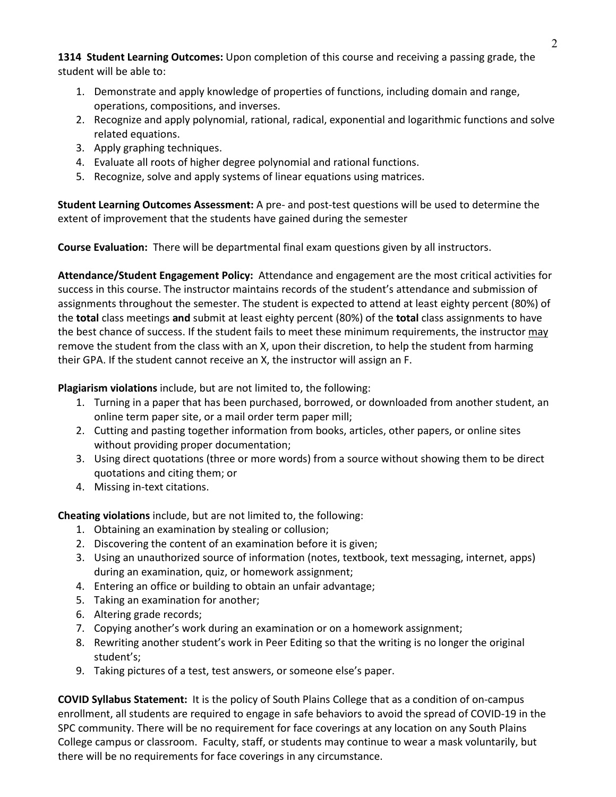**1314 Student Learning Outcomes:** Upon completion of this course and receiving a passing grade, the student will be able to:

- 1. Demonstrate and apply knowledge of properties of functions, including domain and range, operations, compositions, and inverses.
- 2. Recognize and apply polynomial, rational, radical, exponential and logarithmic functions and solve related equations.
- 3. Apply graphing techniques.
- 4. Evaluate all roots of higher degree polynomial and rational functions.
- 5. Recognize, solve and apply systems of linear equations using matrices.

**Student Learning Outcomes Assessment:** A pre- and post-test questions will be used to determine the extent of improvement that the students have gained during the semester

**Course Evaluation:** There will be departmental final exam questions given by all instructors.

**Attendance/Student Engagement Policy:** Attendance and engagement are the most critical activities for success in this course. The instructor maintains records of the student's attendance and submission of assignments throughout the semester. The student is expected to attend at least eighty percent (80%) of the **total** class meetings **and** submit at least eighty percent (80%) of the **total** class assignments to have the best chance of success. If the student fails to meet these minimum requirements, the instructor may remove the student from the class with an X, upon their discretion, to help the student from harming their GPA. If the student cannot receive an X, the instructor will assign an F.

**Plagiarism violations** include, but are not limited to, the following:

- 1. Turning in a paper that has been purchased, borrowed, or downloaded from another student, an online term paper site, or a mail order term paper mill;
- 2. Cutting and pasting together information from books, articles, other papers, or online sites without providing proper documentation;
- 3. Using direct quotations (three or more words) from a source without showing them to be direct quotations and citing them; or
- 4. Missing in-text citations.

**Cheating violations** include, but are not limited to, the following:

- 1. Obtaining an examination by stealing or collusion;
- 2. Discovering the content of an examination before it is given;
- 3. Using an unauthorized source of information (notes, textbook, text messaging, internet, apps) during an examination, quiz, or homework assignment;
- 4. Entering an office or building to obtain an unfair advantage;
- 5. Taking an examination for another;
- 6. Altering grade records;
- 7. Copying another's work during an examination or on a homework assignment;
- 8. Rewriting another student's work in Peer Editing so that the writing is no longer the original student's;
- 9. Taking pictures of a test, test answers, or someone else's paper.

**COVID Syllabus Statement:** It is the policy of South Plains College that as a condition of on-campus enrollment, all students are required to engage in safe behaviors to avoid the spread of COVID-19 in the SPC community. There will be no requirement for face coverings at any location on any South Plains College campus or classroom. Faculty, staff, or students may continue to wear a mask voluntarily, but there will be no requirements for face coverings in any circumstance.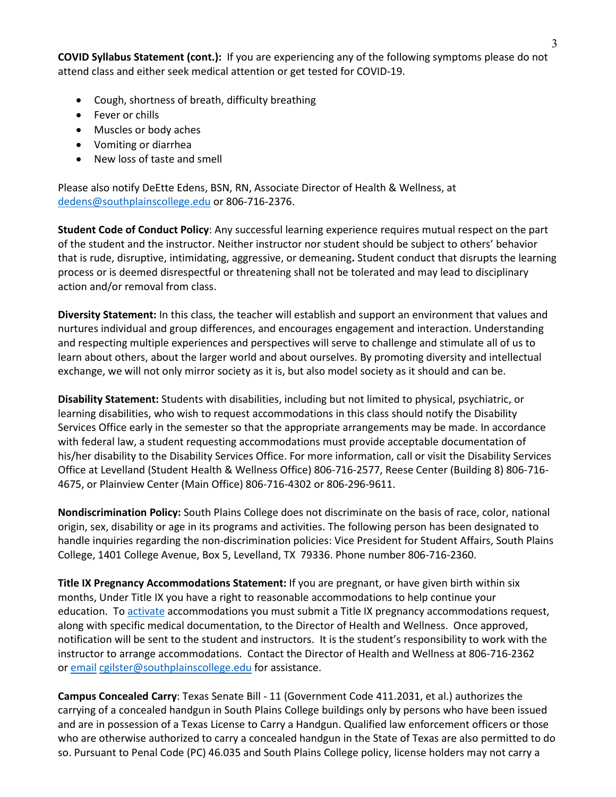**COVID Syllabus Statement (cont.):** If you are experiencing any of the following symptoms please do not attend class and either seek medical attention or get tested for COVID-19.

- Cough, shortness of breath, difficulty breathing
- Fever or chills
- Muscles or body aches
- Vomiting or diarrhea
- New loss of taste and smell

Please also notify DeEtte Edens, BSN, RN, Associate Director of Health & Wellness, at [dedens@southplainscollege.edu](mailto:dedens@southplainscollege.edu) or 806-716-2376.

**Student Code of Conduct Policy**: Any successful learning experience requires mutual respect on the part of the student and the instructor. Neither instructor nor student should be subject to others' behavior that is rude, disruptive, intimidating, aggressive, or demeaning**.** Student conduct that disrupts the learning process or is deemed disrespectful or threatening shall not be tolerated and may lead to disciplinary action and/or removal from class.

**Diversity Statement:** In this class, the teacher will establish and support an environment that values and nurtures individual and group differences, and encourages engagement and interaction. Understanding and respecting multiple experiences and perspectives will serve to challenge and stimulate all of us to learn about others, about the larger world and about ourselves. By promoting diversity and intellectual exchange, we will not only mirror society as it is, but also model society as it should and can be.

**Disability Statement:** Students with disabilities, including but not limited to physical, psychiatric, or learning disabilities, who wish to request accommodations in this class should notify the Disability Services Office early in the semester so that the appropriate arrangements may be made. In accordance with federal law, a student requesting accommodations must provide acceptable documentation of his/her disability to the Disability Services Office. For more information, call or visit the Disability Services Office at Levelland (Student Health & Wellness Office) 806-716-2577, Reese Center (Building 8) 806-716- 4675, or Plainview Center (Main Office) 806-716-4302 or 806-296-9611.

**Nondiscrimination Policy:** South Plains College does not discriminate on the basis of race, color, national origin, sex, disability or age in its programs and activities. The following person has been designated to handle inquiries regarding the non-discrimination policies: Vice President for Student Affairs, South Plains College, 1401 College Avenue, Box 5, Levelland, TX 79336. Phone number 806-716-2360.

**Title IX Pregnancy Accommodations Statement:** If you are pregnant, or have given birth within six months, Under Title IX you have a right to reasonable accommodations to help continue your education. To [activate](http://www.southplainscollege.edu/employees/manualshandbooks/facultyhandbook/sec4.php) accommodations you must submit a Title IX pregnancy accommodations request, along with specific medical documentation, to the Director of Health and Wellness. Once approved, notification will be sent to the student and instructors. It is the student's responsibility to work with the instructor to arrange accommodations. Contact the Director of Health and Wellness at 806-716-2362 or [email](http://www.southplainscollege.edu/employees/manualshandbooks/facultyhandbook/sec4.php) [cgilster@southplainscollege.edu](mailto:cgilster@southplainscollege.edu) for assistance.

**Campus Concealed Carry**: Texas Senate Bill - 11 (Government Code 411.2031, et al.) authorizes the carrying of a concealed handgun in South Plains College buildings only by persons who have been issued and are in possession of a Texas License to Carry a Handgun. Qualified law enforcement officers or those who are otherwise authorized to carry a concealed handgun in the State of Texas are also permitted to do so. Pursuant to Penal Code (PC) 46.035 and South Plains College policy, license holders may not carry a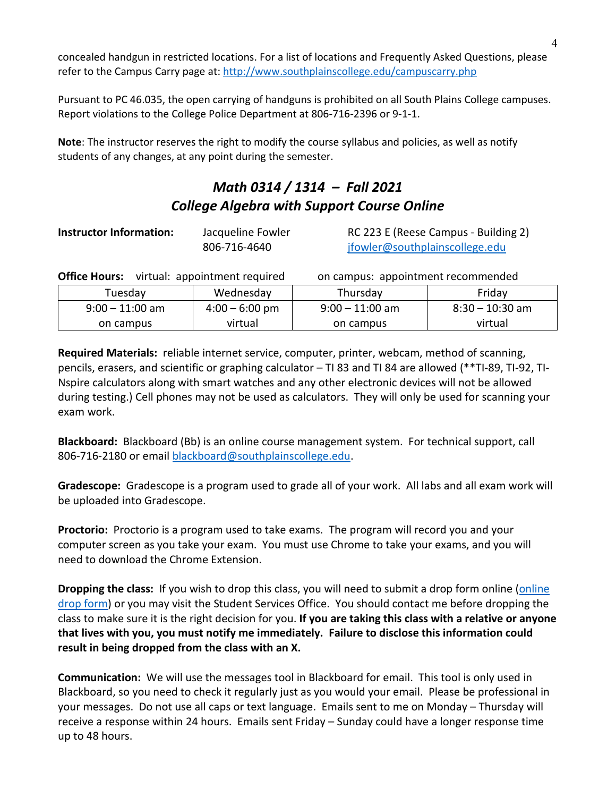concealed handgun in restricted locations. For a list of locations and Frequently Asked Questions, please refer to the Campus Carry page at: <http://www.southplainscollege.edu/campuscarry.php>

Pursuant to PC 46.035, the open carrying of handguns is prohibited on all South Plains College campuses. Report violations to the College Police Department at 806-716-2396 or 9-1-1.

**Note**: The instructor reserves the right to modify the course syllabus and policies, as well as notify students of any changes, at any point during the semester.

# *Math 0314 / 1314 – Fall 2021 College Algebra with Support Course Online*

| <b>Instructor Information:</b> | Jacqueline Fowler |  |
|--------------------------------|-------------------|--|
|                                | 806-716-4640      |  |

[jfowler@southplainscollege.edu](mailto:jfowler@southplainscollege.edu)

**INC 223 E (Reese Campus - Building 2)** 

|         | <b>Office Hours:</b> virtual: appointment required |           | on campus: appointment recommended |        |  |
|---------|----------------------------------------------------|-----------|------------------------------------|--------|--|
| Tuesday |                                                    | Wednesday | Thursday                           | Friday |  |
|         |                                                    |           |                                    |        |  |

| uesdav            | wednesday        | I nursdav         | Fridav            |
|-------------------|------------------|-------------------|-------------------|
| $9:00 - 11:00$ am | $4:00 - 6:00$ pm | $9:00 - 11:00$ am | $8:30 - 10:30$ am |
| on campus         | virtual          | on campus         | virtual           |
|                   |                  |                   |                   |

**Required Materials:** reliable internet service, computer, printer, webcam, method of scanning, pencils, erasers, and scientific or graphing calculator – TI 83 and TI 84 are allowed (\*\*TI-89, TI-92, TI-Nspire calculators along with smart watches and any other electronic devices will not be allowed during testing.) Cell phones may not be used as calculators. They will only be used for scanning your exam work.

**Blackboard:** Blackboard (Bb) is an online course management system. For technical support, call 806-716-2180 or email [blackboard@southplainscollege.edu.](mailto:blackboard@southplainscollege.edu)

**Gradescope:** Gradescope is a program used to grade all of your work. All labs and all exam work will be uploaded into Gradescope.

**Proctorio:** Proctorio is a program used to take exams. The program will record you and your computer screen as you take your exam. You must use Chrome to take your exams, and you will need to download the Chrome Extension.

**Dropping the class:** If you wish to drop this class, you will need to submit a drop form online [\(online](http://www.southplainscollege.edu/admission-aid/apply/schedulechanges.php) drop [form\)](http://www.southplainscollege.edu/admission-aid/apply/schedulechanges.php) or you may visit the Student Services Office.You should contact me before dropping the class to make sure it is the right decision for you. **If you are taking this class with a relative or anyone that lives with you, you must notify me immediately. Failure to disclose this information could result in being dropped from the class with an X.**

**Communication:** We will use the messages tool in Blackboard for email. This tool is only used in Blackboard, so you need to check it regularly just as you would your email. Please be professional in your messages. Do not use all caps or text language. Emails sent to me on Monday – Thursday will receive a response within 24 hours. Emails sent Friday – Sunday could have a longer response time up to 48 hours.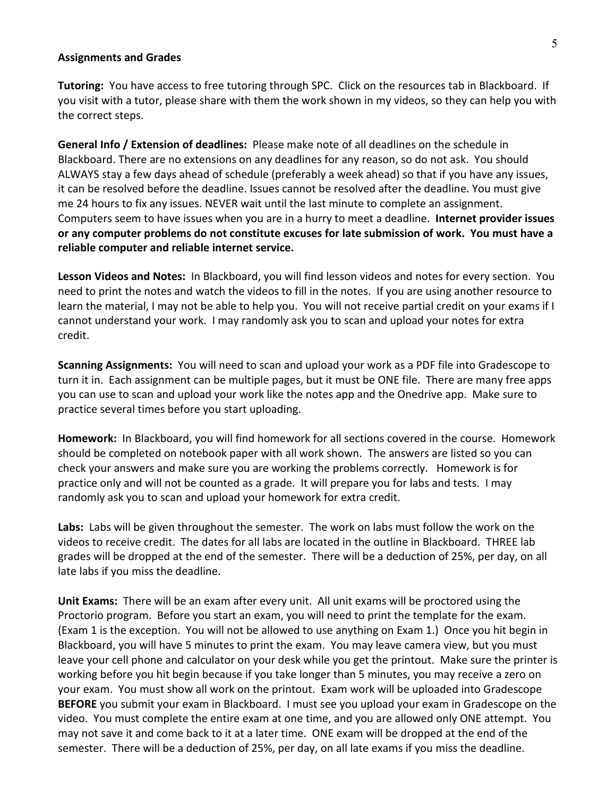### **Assignments and Grades**

**Tutoring:** You have access to free tutoring through SPC. Click on the resources tab in Blackboard. If you visit with a tutor, please share with them the work shown in my videos, so they can help you with the correct steps.

**General Info / Extension of deadlines:** Please make note of all deadlines on the schedule in Blackboard. There are no extensions on any deadlines for any reason, so do not ask. You should ALWAYS stay a few days ahead of schedule (preferably a week ahead) so that if you have any issues, it can be resolved before the deadline. Issues cannot be resolved after the deadline. You must give me 24 hours to fix any issues. NEVER wait until the last minute to complete an assignment. Computers seem to have issues when you are in a hurry to meet a deadline. **Internet provider issues or any computer problems do not constitute excuses for late submission of work. You must have a reliable computer and reliable internet service.** 

**Lesson Videos and Notes:** In Blackboard, you will find lesson videos and notes for every section. You need to print the notes and watch the videos to fill in the notes. If you are using another resource to learn the material, I may not be able to help you. You will not receive partial credit on your exams if I cannot understand your work. I may randomly ask you to scan and upload your notes for extra credit.

**Scanning Assignments:** You will need to scan and upload your work as a PDF file into Gradescope to turn it in. Each assignment can be multiple pages, but it must be ONE file. There are many free apps you can use to scan and upload your work like the notes app and the Onedrive app. Make sure to practice several times before you start uploading.

**Homework:** In Blackboard, you will find homework for all sections covered in the course. Homework should be completed on notebook paper with all work shown. The answers are listed so you can check your answers and make sure you are working the problems correctly. Homework is for practice only and will not be counted as a grade. It will prepare you for labs and tests. I may randomly ask you to scan and upload your homework for extra credit.

**Labs:** Labs will be given throughout the semester. The work on labs must follow the work on the videos to receive credit. The dates for all labs are located in the outline in Blackboard. THREE lab grades will be dropped at the end of the semester. There will be a deduction of 25%, per day, on all late labs if you miss the deadline.

**Unit Exams:** There will be an exam after every unit. All unit exams will be proctored using the Proctorio program. Before you start an exam, you will need to print the template for the exam. (Exam 1 is the exception. You will not be allowed to use anything on Exam 1.) Once you hit begin in Blackboard, you will have 5 minutes to print the exam. You may leave camera view, but you must leave your cell phone and calculator on your desk while you get the printout. Make sure the printer is working before you hit begin because if you take longer than 5 minutes, you may receive a zero on your exam. You must show all work on the printout. Exam work will be uploaded into Gradescope **BEFORE** you submit your exam in Blackboard. I must see you upload your exam in Gradescope on the video. You must complete the entire exam at one time, and you are allowed only ONE attempt. You may not save it and come back to it at a later time. ONE exam will be dropped at the end of the semester. There will be a deduction of 25%, per day, on all late exams if you miss the deadline.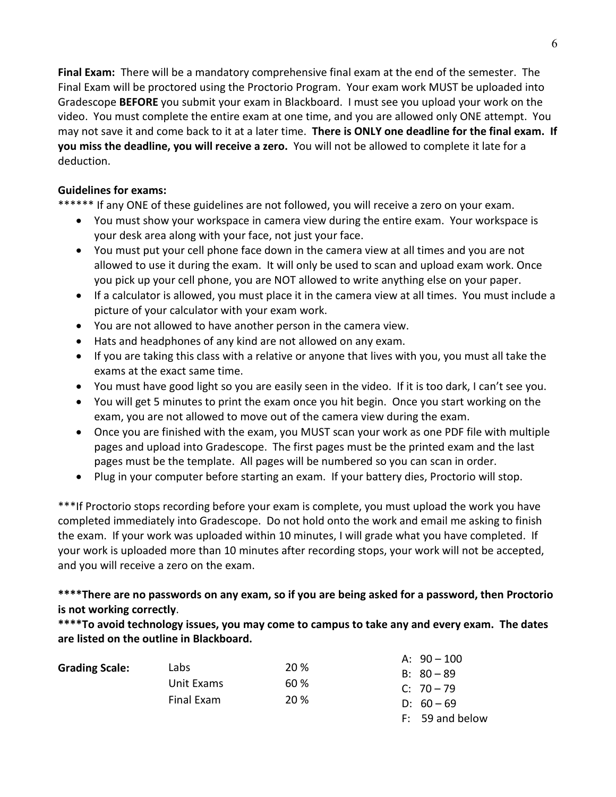**Final Exam:** There will be a mandatory comprehensive final exam at the end of the semester. The Final Exam will be proctored using the Proctorio Program. Your exam work MUST be uploaded into Gradescope **BEFORE** you submit your exam in Blackboard. I must see you upload your work on the video. You must complete the entire exam at one time, and you are allowed only ONE attempt. You may not save it and come back to it at a later time. **There is ONLY one deadline for the final exam. If you miss the deadline, you will receive a zero.** You will not be allowed to complete it late for a deduction.

## **Guidelines for exams:**

\*\*\*\*\*\* If any ONE of these guidelines are not followed, you will receive a zero on your exam.

- You must show your workspace in camera view during the entire exam. Your workspace is your desk area along with your face, not just your face.
- You must put your cell phone face down in the camera view at all times and you are not allowed to use it during the exam. It will only be used to scan and upload exam work. Once you pick up your cell phone, you are NOT allowed to write anything else on your paper.
- If a calculator is allowed, you must place it in the camera view at all times. You must include a picture of your calculator with your exam work.
- You are not allowed to have another person in the camera view.
- Hats and headphones of any kind are not allowed on any exam.
- If you are taking this class with a relative or anyone that lives with you, you must all take the exams at the exact same time.
- You must have good light so you are easily seen in the video. If it is too dark, I can't see you.
- You will get 5 minutes to print the exam once you hit begin. Once you start working on the exam, you are not allowed to move out of the camera view during the exam.
- Once you are finished with the exam, you MUST scan your work as one PDF file with multiple pages and upload into Gradescope. The first pages must be the printed exam and the last pages must be the template. All pages will be numbered so you can scan in order.
- Plug in your computer before starting an exam. If your battery dies, Proctorio will stop.

\*\*\*If Proctorio stops recording before your exam is complete, you must upload the work you have completed immediately into Gradescope. Do not hold onto the work and email me asking to finish the exam. If your work was uploaded within 10 minutes, I will grade what you have completed. If your work is uploaded more than 10 minutes after recording stops, your work will not be accepted, and you will receive a zero on the exam.

# **\*\*\*\*There are no passwords on any exam, so if you are being asked for a password, then Proctorio is not working correctly**.

**\*\*\*\*To avoid technology issues, you may come to campus to take any and every exam. The dates are listed on the outline in Blackboard.** 

|                       |            |             | A: $90 - 100$   |
|-----------------------|------------|-------------|-----------------|
| <b>Grading Scale:</b> | Labs       | 20 %        | $B: 80 - 89$    |
|                       | Unit Exams | 60 %        | C: $70 - 79$    |
|                       | Final Exam | <b>20 %</b> | $D: 60 - 69$    |
|                       |            |             | F: 59 and below |